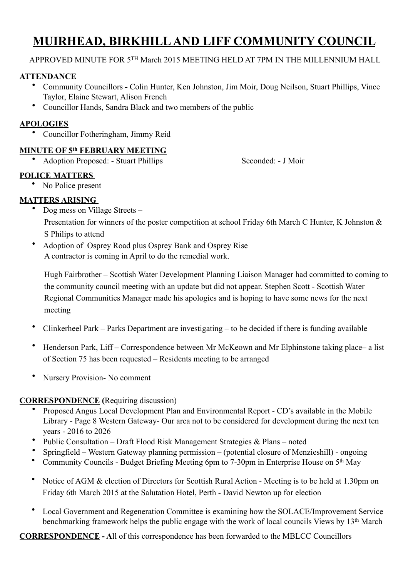# **MUIRHEAD, BIRKHILL AND LIFF COMMUNITY COUNCIL**

# APPROVED MINUTE FOR 5TH March 2015 MEETING HELD AT 7PM IN THE MILLENNIUM HALL

# **ATTENDANCE**

- Community Councillors **-** Colin Hunter, Ken Johnston, Jim Moir, Doug Neilson, Stuart Phillips, Vince Taylor, Elaine Stewart, Alison French
- Councillor Hands, Sandra Black and two members of the public

# **APOLOGIES**

• Councillor Fotheringham, Jimmy Reid

# **MINUTE OF 5th FEBRUARY MEETING**

• Adoption Proposed: - Stuart Phillips Seconded: - J Moir

# **POLICE MATTERS**

• No Police present

# **MATTERS ARISING**

• Dog mess on Village Streets –

Presentation for winners of the poster competition at school Friday 6th March C Hunter, K Johnston & S Philips to attend

• Adoption of Osprey Road plus Osprey Bank and Osprey Rise A contractor is coming in April to do the remedial work.

Hugh Fairbrother – Scottish Water Development Planning Liaison Manager had committed to coming to the community council meeting with an update but did not appear. Stephen Scott - Scottish Water Regional Communities Manager made his apologies and is hoping to have some news for the next meeting

- Clinkerheel Park Parks Department are investigating to be decided if there is funding available
- Henderson Park, Liff Correspondence between Mr McKeown and Mr Elphinstone taking place– a list of Section 75 has been requested – Residents meeting to be arranged
- Nursery Provision- No comment

# **CORRESPONDENCE (**Requiring discussion)

- Proposed Angus Local Development Plan and Environmental Report CD's available in the Mobile Library - Page 8 Western Gateway- Our area not to be considered for development during the next ten years - 2016 to 2026
- Public Consultation Draft Flood Risk Management Strategies & Plans noted
- Springfield Western Gateway planning permission (potential closure of Menzieshill) ongoing
- Community Councils Budget Briefing Meeting 6pm to 7-30pm in Enterprise House on 5<sup>th</sup> May
- Notice of AGM & election of Directors for Scottish Rural Action Meeting is to be held at 1.30pm on Friday 6th March 2015 at the Salutation Hotel, Perth - David Newton up for election
- Local Government and Regeneration Committee is examining how the SOLACE/Improvement Service benchmarking framework helps the public engage with the work of local councils Views by 13th March

**CORRESPONDENCE - A**ll of this correspondence has been forwarded to the MBLCC Councillors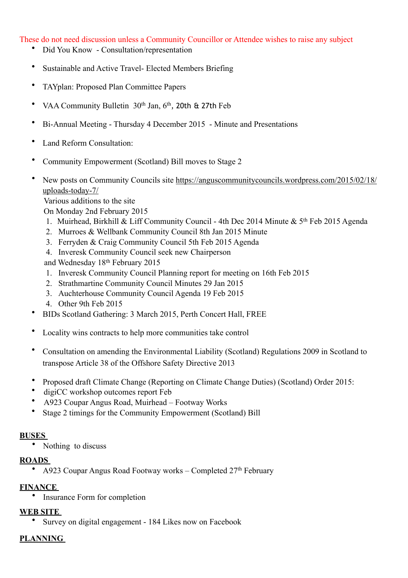These do not need discussion unless a Community Councillor or Attendee wishes to raise any subject

- Did You Know Consultation/representation
- Sustainable and Active Travel- Elected Members Briefing
- TAYplan: Proposed Plan Committee Papers
- VAA Community Bulletin 30<sup>th</sup> Jan, 6<sup>th</sup>, 20th & 27th Feb
- Bi-Annual Meeting Thursday 4 December 2015 Minute and Presentations
- Land Reform Consultation:
- Community Empowerment (Scotland) Bill moves to Stage 2
- [New posts on Community Councils site https://anguscommunitycouncils.wordpress.com/2015/02/18/](https://anguscommunitycouncils.wordpress.com/2015/02/18/uploads-today-7/) uploads-today-7/

Various additions to the site

On Monday 2nd February 2015

- 1. Muirhead, Birkhill & Liff Community Council 4th Dec 2014 Minute & 5th Feb 2015 Agenda
- 2. Murroes & Wellbank Community Council [8th Jan 2015](https://anguscommunitycouncils.files.wordpress.com/2014/12/cc-mins-jan-2015-_2_.pdf) Minute
- 3. Ferryden & Craig Community Council 5th Feb 2015 Agenda
- 4. [Inveresk Community Council seek new Chairperson](https://anguscommunitycouncils.wordpress.com/2015/02/02/inveresk-community-council-seek-new-chairperson/)
- and Wednesday 18th February 2015
- 1. Inveresk Community Council [Planning report](https://anguscommunitycouncils.files.wordpress.com/2014/12/icc-planning-report-16-feb-2015.pdf) for meeting on 16th Feb 2015
- 2. Strathmartine Community Council Minutes [29 Jan 2015](https://anguscommunitycouncils.files.wordpress.com/2014/12/scc-minutes-jan-2015.pdf)
- 3. Auchterhouse Community Council Agenda [19 Feb 2015](https://anguscommunitycouncils.files.wordpress.com/2014/12/19th-feb-2015.pdf)
- 4. Other [9th Feb 2015](https://anguscommunitycouncils.files.wordpress.com/2014/12/9-feb-13-feb.pdf)
- BIDs Scotland Gathering: 3 March 2015, Perth Concert Hall, FREE
- Locality wins contracts to help more communities take control
- [Consultation on amending the Environmental Liability \(Scotland\) Regulations 2009 in Scotland to](http://register.scotland.gov.uk/s/17b)  transpose Article 38 of the Offshore Safety Directive 2013
- [Proposed draft Climate Change \(Reporting on Climate Change Duties\) \(Scotland\) Order 2015:](http://register.scotland.gov.uk/s/17b)
- digiCC workshop outcomes report Feb
- A923 Coupar Angus Road, Muirhead Footway Works
- Stage 2 timings for the Community Empowerment (Scotland) Bill

#### **BUSES**

• Nothing to discuss

#### **ROADS**

• A923 Coupar Angus Road Footway works – Completed 27<sup>th</sup> February

#### **FINANCE**

• Insurance Form for completion

# **WEB SITE**

• Survey on digital engagement - 184 Likes now on Facebook

#### **PLANNING**